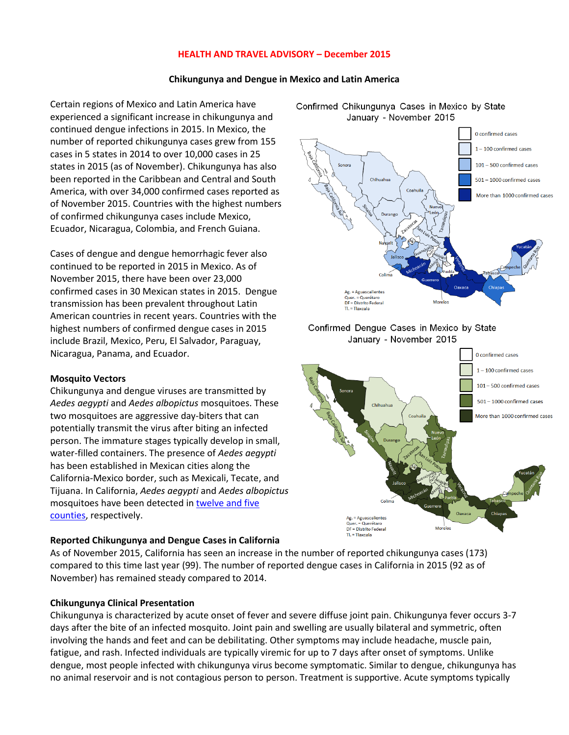### **HEALTH AND TRAVEL ADVISORY – December 2015**

#### **Chikungunya and Dengue in Mexico and Latin America**

Certain regions of Mexico and Latin America have experienced a significant increase in chikungunya and continued dengue infections in 2015. In Mexico, the number of reported chikungunya cases grew from 155 cases in 5 states in 2014 to over 10,000 cases in 25 states in 2015 (as of November). Chikungunya has also been reported in the Caribbean and Central and South America, with over 34,000 confirmed cases reported as of November 2015. Countries with the highest numbers of confirmed chikungunya cases include Mexico, Ecuador, Nicaragua, Colombia, and French Guiana.

Cases of dengue and dengue hemorrhagic fever also continued to be reported in 2015 in Mexico. As of November 2015, there have been over 23,000 confirmed cases in 30 Mexican states in 2015. Dengue transmission has been prevalent throughout Latin American countries in recent years. Countries with the highest numbers of confirmed dengue cases in 2015 include Brazil, Mexico, Peru, El Salvador, Paraguay, Nicaragua, Panama, and Ecuador.

### **Mosquito Vectors**

Chikungunya and dengue viruses are transmitted by *Aedes aegypti* and *Aedes albopictus* mosquitoes. These two mosquitoes are aggressive day‐biters that can potentially transmit the virus after biting an infected person. The immature stages typically develop in small, water‐filled containers. The presence of *Aedes aegypti*  has been established in Mexican cities along the California‐Mexico border, such as Mexicali, Tecate, and Tijuana. In California, *Aedes aegypti* and *Aedes albopictus* mosquitoes have been detected in twelve and five [counties,](https://www.cdph.ca.gov/HealthInfo/discond/Documents/AedesDistributionMap.pdf) respectively.

### **Reported Chikungunya and Dengue Cases in California**

As of November 2015, California has seen an increase in the number of reported chikungunya cases (173) compared to this time last year (99). The number of reported dengue cases in California in 2015 (92 as of November) has remained steady compared to 2014.

### **Chikungunya Clinical Presentation**

Chikungunya is characterized by acute onset of fever and severe diffuse joint pain. Chikungunya fever occurs 3‐7 days after the bite of an infected mosquito. Joint pain and swelling are usually bilateral and symmetric, often involving the hands and feet and can be debilitating. Other symptoms may include headache, muscle pain, fatigue, and rash. Infected individuals are typically viremic for up to 7 days after onset of symptoms. Unlike dengue, most people infected with chikungunya virus become symptomatic. Similar to dengue, chikungunya has no animal reservoir and is not contagious person to person. Treatment is supportive. Acute symptoms typically





Confirmed Chikungunya Cases in Mexico by State January - November 2015